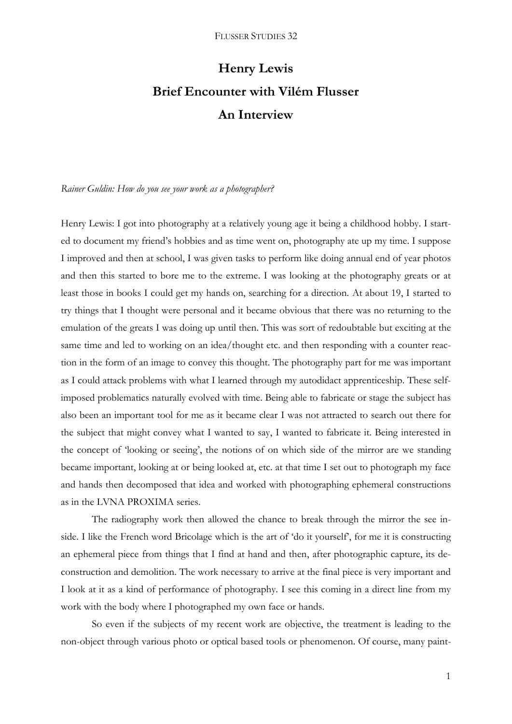# **Henry Lewis Brief Encounter with Vilém Flusser An Interview**

*Rainer Guldin: How do you see your work as a photographer?* 

Henry Lewis: I got into photography at a relatively young age it being a childhood hobby. I started to document my friend's hobbies and as time went on, photography ate up my time. I suppose I improved and then at school, I was given tasks to perform like doing annual end of year photos and then this started to bore me to the extreme. I was looking at the photography greats or at least those in books I could get my hands on, searching for a direction. At about 19, I started to try things that I thought were personal and it became obvious that there was no returning to the emulation of the greats I was doing up until then. This was sort of redoubtable but exciting at the same time and led to working on an idea/thought etc. and then responding with a counter reaction in the form of an image to convey this thought. The photography part for me was important as I could attack problems with what I learned through my autodidact apprenticeship. These selfimposed problematics naturally evolved with time. Being able to fabricate or stage the subject has also been an important tool for me as it became clear I was not attracted to search out there for the subject that might convey what I wanted to say, I wanted to fabricate it. Being interested in the concept of 'looking or seeing', the notions of on which side of the mirror are we standing became important, looking at or being looked at, etc. at that time I set out to photograph my face and hands then decomposed that idea and worked with photographing ephemeral constructions as in the LVNA PROXIMA series.

The radiography work then allowed the chance to break through the mirror the see inside. I like the French word Bricolage which is the art of 'do it yourself', for me it is constructing an ephemeral piece from things that I find at hand and then, after photographic capture, its deconstruction and demolition. The work necessary to arrive at the final piece is very important and I look at it as a kind of performance of photography. I see this coming in a direct line from my work with the body where I photographed my own face or hands.

So even if the subjects of my recent work are objective, the treatment is leading to the non-object through various photo or optical based tools or phenomenon. Of course, many paint-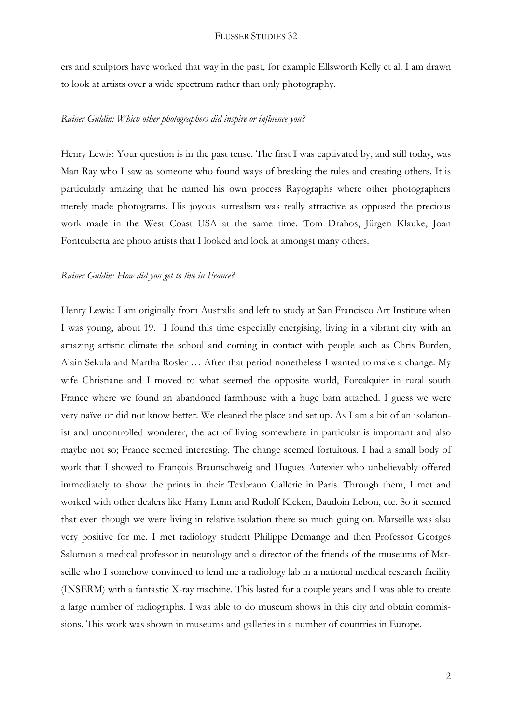## FLUSSER STUDIES 32

ers and sculptors have worked that way in the past, for example Ellsworth Kelly et al. I am drawn to look at artists over a wide spectrum rather than only photography.

# *Rainer Guldin: Which other photographers did inspire or influence you?*

Henry Lewis: Your question is in the past tense. The first I was captivated by, and still today, was Man Ray who I saw as someone who found ways of breaking the rules and creating others. It is particularly amazing that he named his own process Rayographs where other photographers merely made photograms. His joyous surrealism was really attractive as opposed the precious work made in the West Coast USA at the same time. Tom Drahos, Jürgen Klauke, Joan Fontcuberta are photo artists that I looked and look at amongst many others.

### *Rainer Guldin: How did you get to live in France?*

Henry Lewis: I am originally from Australia and left to study at San Francisco Art Institute when I was young, about 19. I found this time especially energising, living in a vibrant city with an amazing artistic climate the school and coming in contact with people such as Chris Burden, Alain Sekula and Martha Rosler … After that period nonetheless I wanted to make a change. My wife Christiane and I moved to what seemed the opposite world, Forcalquier in rural south France where we found an abandoned farmhouse with a huge barn attached. I guess we were very naïve or did not know better. We cleaned the place and set up. As I am a bit of an isolationist and uncontrolled wonderer, the act of living somewhere in particular is important and also maybe not so; France seemed interesting. The change seemed fortuitous. I had a small body of work that I showed to François Braunschweig and Hugues Autexier who unbelievably offered immediately to show the prints in their Texbraun Gallerie in Paris. Through them, I met and worked with other dealers like Harry Lunn and Rudolf Kicken, Baudoin Lebon, etc. So it seemed that even though we were living in relative isolation there so much going on. Marseille was also very positive for me. I met radiology student Philippe Demange and then Professor Georges Salomon a medical professor in neurology and a director of the friends of the museums of Marseille who I somehow convinced to lend me a radiology lab in a national medical research facility (INSERM) with a fantastic X-ray machine. This lasted for a couple years and I was able to create a large number of radiographs. I was able to do museum shows in this city and obtain commissions. This work was shown in museums and galleries in a number of countries in Europe.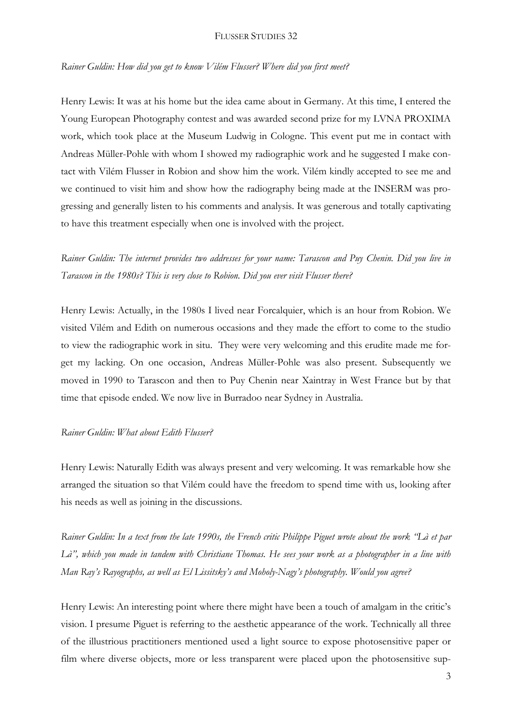## FLUSSER STUDIES 32

*Rainer Guldin: How did you get to know Vilém Flusser? Where did you first meet?*

Henry Lewis: It was at his home but the idea came about in Germany. At this time, I entered the Young European Photography contest and was awarded second prize for my LVNA PROXIMA work, which took place at the Museum Ludwig in Cologne. This event put me in contact with Andreas Müller-Pohle with whom I showed my radiographic work and he suggested I make contact with Vilém Flusser in Robion and show him the work. Vilém kindly accepted to see me and we continued to visit him and show how the radiography being made at the INSERM was progressing and generally listen to his comments and analysis. It was generous and totally captivating to have this treatment especially when one is involved with the project.

*Rainer Guldin: The internet provides two addresses for your name: Tarascon and Puy Chenin. Did you live in Tarascon in the 1980s? This is very close to Robion. Did you ever visit Flusser there?*

Henry Lewis: Actually, in the 1980s I lived near Forcalquier, which is an hour from Robion. We visited Vilém and Edith on numerous occasions and they made the effort to come to the studio to view the radiographic work in situ. They were very welcoming and this erudite made me forget my lacking. On one occasion, Andreas Müller-Pohle was also present. Subsequently we moved in 1990 to Tarascon and then to Puy Chenin near Xaintray in West France but by that time that episode ended. We now live in Burradoo near Sydney in Australia.

# *Rainer Guldin: What about Edith Flusser?*

Henry Lewis: Naturally Edith was always present and very welcoming. It was remarkable how she arranged the situation so that Vilém could have the freedom to spend time with us, looking after his needs as well as joining in the discussions.

*Rainer Guldin: In a text from the late 1990s, the French critic Philippe Piguet wrote about the work "Là et par Là", which you made in tandem with Christiane Thomas. He sees your work as a photographer in a line with Man Ray's Rayographs, as well as El Lissitsky's and Moholy-Nagy's photography. Would you agree?*

Henry Lewis: An interesting point where there might have been a touch of amalgam in the critic's vision. I presume Piguet is referring to the aesthetic appearance of the work. Technically all three of the illustrious practitioners mentioned used a light source to expose photosensitive paper or film where diverse objects, more or less transparent were placed upon the photosensitive sup-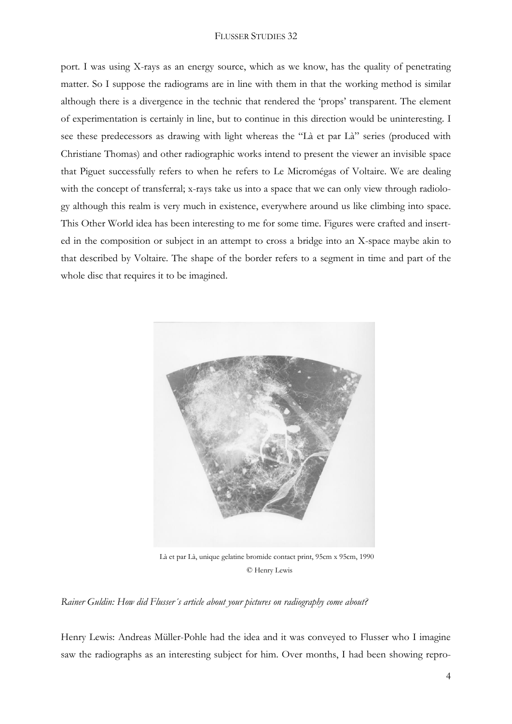## FLUSSER STUDIES 32

port. I was using X-rays as an energy source, which as we know, has the quality of penetrating matter. So I suppose the radiograms are in line with them in that the working method is similar although there is a divergence in the technic that rendered the 'props' transparent. The element of experimentation is certainly in line, but to continue in this direction would be uninteresting. I see these predecessors as drawing with light whereas the "Là et par Là" series (produced with Christiane Thomas) and other radiographic works intend to present the viewer an invisible space that Piguet successfully refers to when he refers to Le Micromégas of Voltaire. We are dealing with the concept of transferral; x-rays take us into a space that we can only view through radiology although this realm is very much in existence, everywhere around us like climbing into space. This Other World idea has been interesting to me for some time. Figures were crafted and inserted in the composition or subject in an attempt to cross a bridge into an X-space maybe akin to that described by Voltaire. The shape of the border refers to a segment in time and part of the whole disc that requires it to be imagined.



© Henry Lewis

*Rainer Guldin: How did Flusser´s article about your pictures on radiography come about?*

Henry Lewis: Andreas Müller-Pohle had the idea and it was conveyed to Flusser who I imagine saw the radiographs as an interesting subject for him. Over months, I had been showing repro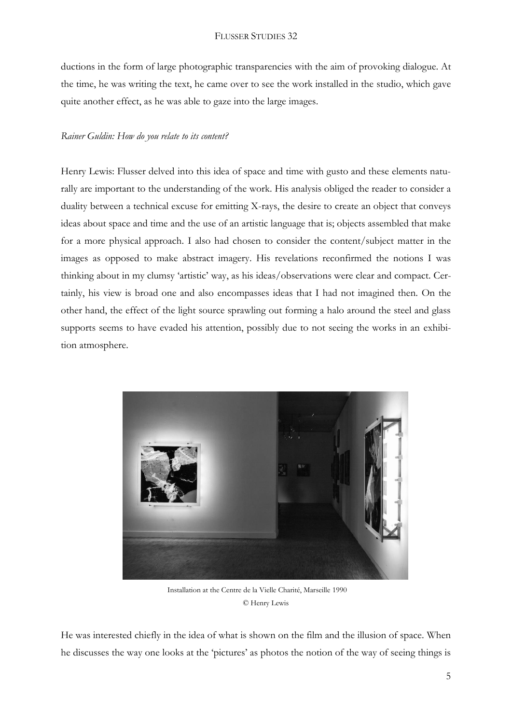ductions in the form of large photographic transparencies with the aim of provoking dialogue. At the time, he was writing the text, he came over to see the work installed in the studio, which gave quite another effect, as he was able to gaze into the large images.

# *Rainer Guldin: How do you relate to its content?*

Henry Lewis: Flusser delved into this idea of space and time with gusto and these elements naturally are important to the understanding of the work. His analysis obliged the reader to consider a duality between a technical excuse for emitting X-rays, the desire to create an object that conveys ideas about space and time and the use of an artistic language that is; objects assembled that make for a more physical approach. I also had chosen to consider the content/subject matter in the images as opposed to make abstract imagery. His revelations reconfirmed the notions I was thinking about in my clumsy 'artistic' way, as his ideas/observations were clear and compact. Certainly, his view is broad one and also encompasses ideas that I had not imagined then. On the other hand, the effect of the light source sprawling out forming a halo around the steel and glass supports seems to have evaded his attention, possibly due to not seeing the works in an exhibition atmosphere.



 Installation at the Centre de la Vielle Charité, Marseille 1990 © Henry Lewis

He was interested chiefly in the idea of what is shown on the film and the illusion of space. When he discusses the way one looks at the 'pictures' as photos the notion of the way of seeing things is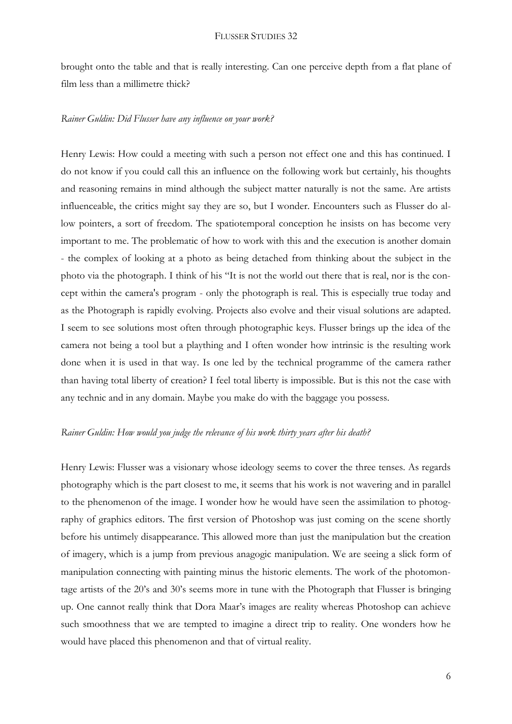brought onto the table and that is really interesting. Can one perceive depth from a flat plane of film less than a millimetre thick?

# *Rainer Guldin: Did Flusser have any influence on your work?*

Henry Lewis: How could a meeting with such a person not effect one and this has continued. I do not know if you could call this an influence on the following work but certainly, his thoughts and reasoning remains in mind although the subject matter naturally is not the same. Are artists influenceable, the critics might say they are so, but I wonder. Encounters such as Flusser do allow pointers, a sort of freedom. The spatiotemporal conception he insists on has become very important to me. The problematic of how to work with this and the execution is another domain - the complex of looking at a photo as being detached from thinking about the subject in the photo via the photograph. I think of his "It is not the world out there that is real, nor is the concept within the camera's program - only the photograph is real. This is especially true today and as the Photograph is rapidly evolving. Projects also evolve and their visual solutions are adapted. I seem to see solutions most often through photographic keys. Flusser brings up the idea of the camera not being a tool but a plaything and I often wonder how intrinsic is the resulting work done when it is used in that way. Is one led by the technical programme of the camera rather than having total liberty of creation? I feel total liberty is impossible. But is this not the case with any technic and in any domain. Maybe you make do with the baggage you possess.

# *Rainer Guldin: How would you judge the relevance of his work thirty years after his death?*

Henry Lewis: Flusser was a visionary whose ideology seems to cover the three tenses. As regards photography which is the part closest to me, it seems that his work is not wavering and in parallel to the phenomenon of the image. I wonder how he would have seen the assimilation to photography of graphics editors. The first version of Photoshop was just coming on the scene shortly before his untimely disappearance. This allowed more than just the manipulation but the creation of imagery, which is a jump from previous anagogic manipulation. We are seeing a slick form of manipulation connecting with painting minus the historic elements. The work of the photomontage artists of the 20's and 30's seems more in tune with the Photograph that Flusser is bringing up. One cannot really think that Dora Maar's images are reality whereas Photoshop can achieve such smoothness that we are tempted to imagine a direct trip to reality. One wonders how he would have placed this phenomenon and that of virtual reality.